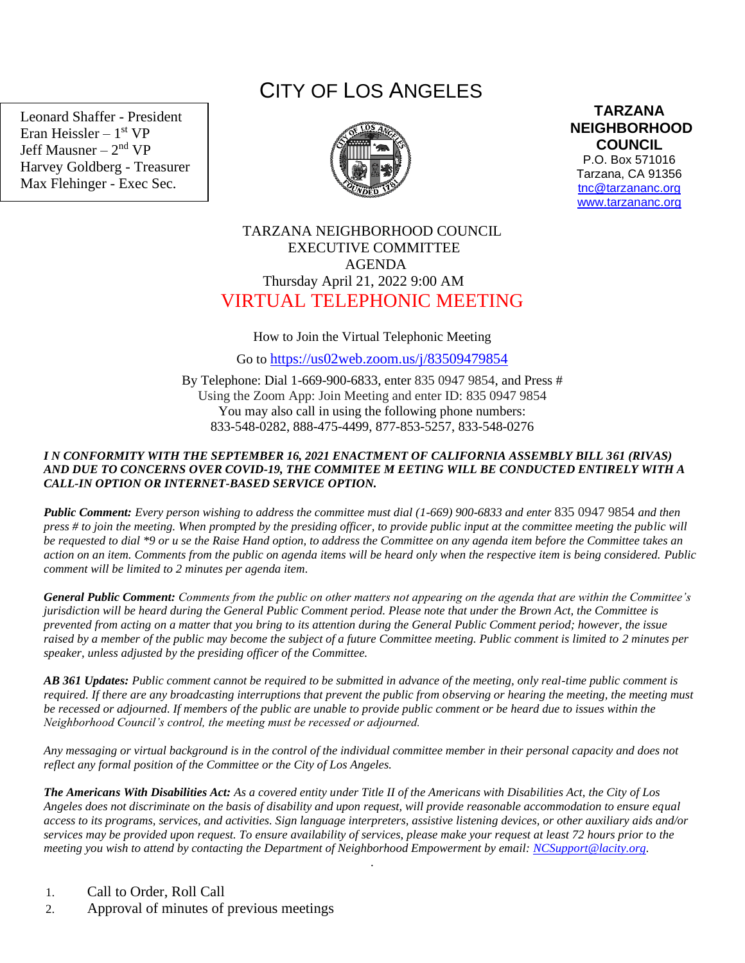Leonard Shaffer - President Eran Heissler – 1<sup>st</sup> VP Jeff Mausner – 2<sup>nd</sup> VP Harvey Goldberg - Treasurer Max Flehinger - Exec Sec.

# CITY OF LOS ANGELES



**TARZANA NEIGHBORHOOD COUNCIL**  P.O. Box 571016

Tarzana, CA 91356 [tnc@tarzananc.org](mailto:tnc@tarzananc.org) [www.tarzananc.org](http://www.tarzananc.org/)

## TARZANA NEIGHBORHOOD COUNCIL EXECUTIVE COMMITTEE AGENDA Thursday April 21, 2022 9:00 AM VIRTUAL TELEPHONIC MEETING

#### How to Join the Virtual Telephonic Meeting

Go to <https://us02web.zoom.us/j/83509479854>

By Telephone: Dial 1-669-900-6833, enter 835 0947 9854, and Press # Using the Zoom App: Join Meeting and enter ID: 835 0947 9854 You may also call in using the following phone numbers: 833-548-0282, 888-475-4499, 877-853-5257, 833-548-0276

#### *I N CONFORMITY WITH THE SEPTEMBER 16, 2021 ENACTMENT OF CALIFORNIA ASSEMBLY BILL 361 (RIVAS) AND DUE TO CONCERNS OVER COVID-19, THE COMMITEE M EETING WILL BE CONDUCTED ENTIRELY WITH A CALL-IN OPTION OR INTERNET-BASED SERVICE OPTION.*

*Public Comment: Every person wishing to address the committee must dial (1-669) 900-6833 and enter* 835 0947 9854 *and then press # to join the meeting. When prompted by the presiding officer, to provide public input at the committee meeting the public will be requested to dial \*9 or u se the Raise Hand option, to address the Committee on any agenda item before the Committee takes an action on an item. Comments from the public on agenda items will be heard only when the respective item is being considered. Public comment will be limited to 2 minutes per agenda item.*

*General Public Comment: Comments from the public on other matters not appearing on the agenda that are within the Committee's jurisdiction will be heard during the General Public Comment period. Please note that under the Brown Act, the Committee is prevented from acting on a matter that you bring to its attention during the General Public Comment period; however, the issue raised by a member of the public may become the subject of a future Committee meeting. Public comment is limited to 2 minutes per speaker, unless adjusted by the presiding officer of the Committee.*

*AB 361 Updates: Public comment cannot be required to be submitted in advance of the meeting, only real-time public comment is required. If there are any broadcasting interruptions that prevent the public from observing or hearing the meeting, the meeting must be recessed or adjourned. If members of the public are unable to provide public comment or be heard due to issues within the Neighborhood Council's control, the meeting must be recessed or adjourned.*

*Any messaging or virtual background is in the control of the individual committee member in their personal capacity and does not reflect any formal position of the Committee or the City of Los Angeles.*

*The Americans With Disabilities Act: As a covered entity under Title II of the Americans with Disabilities Act, the City of Los Angeles does not discriminate on the basis of disability and upon request, will provide reasonable accommodation to ensure equal access to its programs, services, and activities. Sign language interpreters, assistive listening devices, or other auxiliary aids and/or services may be provided upon request. To ensure availability of services, please make your request at least 72 hours prior to the meeting you wish to attend by contacting the Department of Neighborhood Empowerment by email: [NCSupport@lacity.org.](mailto:NCSupport@lacity.org)*

.

- 1. Call to Order, Roll Call
- 2. Approval of minutes of previous meetings